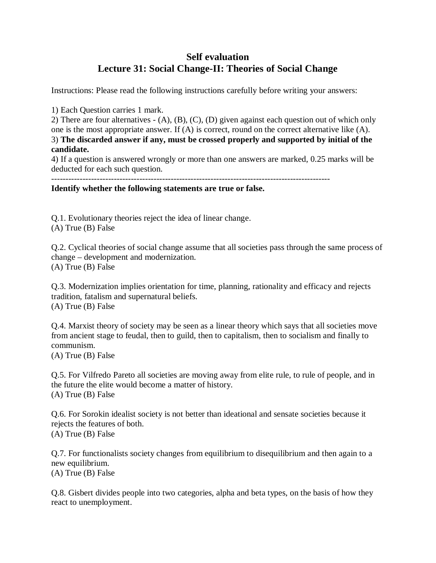## **Self evaluation Lecture 31: Social Change-II: Theories of Social Change**

Instructions: Please read the following instructions carefully before writing your answers:

1) Each Question carries 1 mark.

2) There are four alternatives - (A), (B), (C), (D) given against each question out of which only one is the most appropriate answer. If (A) is correct, round on the correct alternative like (A). 3) **The discarded answer if any, must be crossed properly and supported by initial of the candidate.**

4) If a question is answered wrongly or more than one answers are marked, 0.25 marks will be deducted for each such question.

**Identify whether the following statements are true or false.** 

Q.1. Evolutionary theories reject the idea of linear change.

(A) True (B) False

Q.2. Cyclical theories of social change assume that all societies pass through the same process of change – development and modernization. (A) True (B) False

Q.3. Modernization implies orientation for time, planning, rationality and efficacy and rejects tradition, fatalism and supernatural beliefs. (A) True (B) False

Q.4. Marxist theory of society may be seen as a linear theory which says that all societies move from ancient stage to feudal, then to guild, then to capitalism, then to socialism and finally to communism.

(A) True (B) False

Q.5. For Vilfredo Pareto all societies are moving away from elite rule, to rule of people, and in the future the elite would become a matter of history. (A) True (B) False

Q.6. For Sorokin idealist society is not better than ideational and sensate societies because it rejects the features of both. (A) True (B) False

Q.7. For functionalists society changes from equilibrium to disequilibrium and then again to a new equilibrium. (A) True (B) False

Q.8. Gisbert divides people into two categories, alpha and beta types, on the basis of how they react to unemployment.